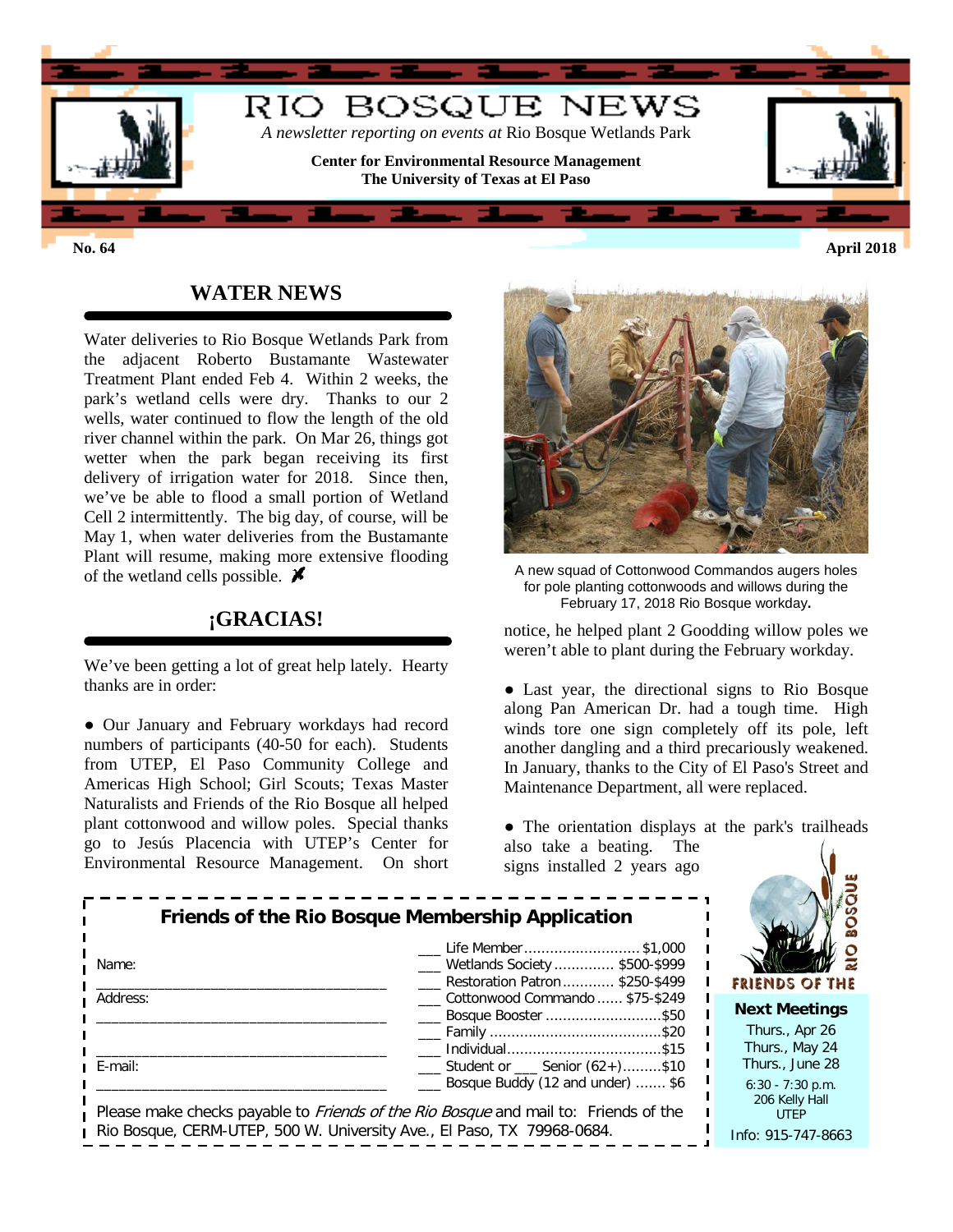

## **WATER NEWS**

Water deliveries to Rio Bosque Wetlands Park from the adjacent Roberto Bustamante Wastewater Treatment Plant ended Feb 4. Within 2 weeks, the park's wetland cells were dry. Thanks to our 2 wells, water continued to flow the length of the old river channel within the park. On Mar 26, things got wetter when the park began receiving its first delivery of irrigation water for 2018. Since then, we've be able to flood a small portion of Wetland Cell 2 intermittently. The big day, of course, will be May 1, when water deliveries from the Bustamante Plant will resume, making more extensive flooding of the wetland cells possible.  $\cancel{\blacktriangleright}$ 

## **¡GRACIAS!**

We've been getting a lot of great help lately. Hearty thanks are in order:

● Our January and February workdays had record numbers of participants (40-50 for each). Students from UTEP, El Paso Community College and Americas High School; Girl Scouts; Texas Master Naturalists and Friends of the Rio Bosque all helped plant cottonwood and willow poles. Special thanks go to Jesús Placencia with UTEP's Center for Environmental Resource Management. On short



A new squad of Cottonwood Commandos augers holes for pole planting cottonwoods and willows during the February 17, 2018 Rio Bosque workday**.**

notice, he helped plant 2 Goodding willow poles we weren't able to plant during the February workday.

• Last year, the directional signs to Rio Bosque along Pan American Dr. had a tough time. High winds tore one sign completely off its pole, left another dangling and a third precariously weakened. In January, thanks to the City of El Paso's Street and Maintenance Department, all were replaced.

• The orientation displays at the park's trailheads also take a beating. The

signs installed 2 years ago

|          | Life Member \$1,000                                     |
|----------|---------------------------------------------------------|
| Name:    | Wetlands Society  \$500-\$999                           |
|          | Restoration Patron  \$250-\$499                         |
| Address: | Cottonwood Commando  \$75-\$249                         |
|          | Bosque Booster \$50                                     |
|          |                                                         |
|          |                                                         |
| E-mail:  | $\frac{1}{2}$ Student or $\frac{1}{2}$ Senior (62+)\$10 |
|          | Bosque Buddy (12 and under)  \$6                        |



**ext Meetings** 

Thurs., Apr 26 Thurs., May 24 Thurs., June 28

6:30 - 7:30 p.m. 206 Kelly Hall UTEP

fo: 915-747-8663